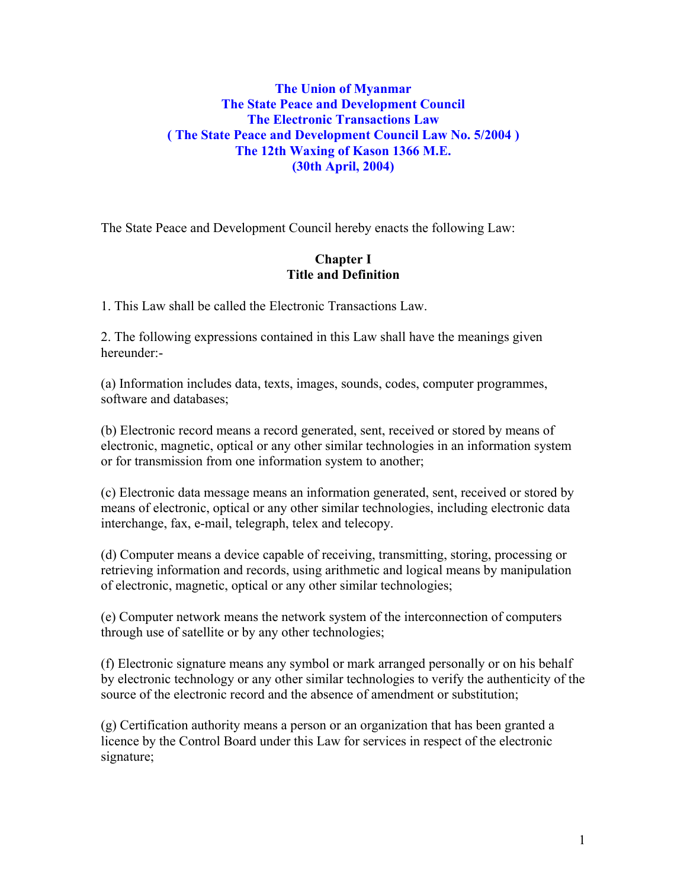## **The Union of Myanmar The State Peace and Development Council The Electronic Transactions Law ( The State Peace and Development Council Law No. 5/2004 ) The 12th Waxing of Kason 1366 M.E. (30th April, 2004)**

The State Peace and Development Council hereby enacts the following Law:

## **Chapter I Title and Definition**

1. This Law shall be called the Electronic Transactions Law.

2. The following expressions contained in this Law shall have the meanings given hereunder:-

(a) Information includes data, texts, images, sounds, codes, computer programmes, software and databases;

(b) Electronic record means a record generated, sent, received or stored by means of electronic, magnetic, optical or any other similar technologies in an information system or for transmission from one information system to another;

(c) Electronic data message means an information generated, sent, received or stored by means of electronic, optical or any other similar technologies, including electronic data interchange, fax, e-mail, telegraph, telex and telecopy.

(d) Computer means a device capable of receiving, transmitting, storing, processing or retrieving information and records, using arithmetic and logical means by manipulation of electronic, magnetic, optical or any other similar technologies;

(e) Computer network means the network system of the interconnection of computers through use of satellite or by any other technologies;

(f) Electronic signature means any symbol or mark arranged personally or on his behalf by electronic technology or any other similar technologies to verify the authenticity of the source of the electronic record and the absence of amendment or substitution;

(g) Certification authority means a person or an organization that has been granted a licence by the Control Board under this Law for services in respect of the electronic signature;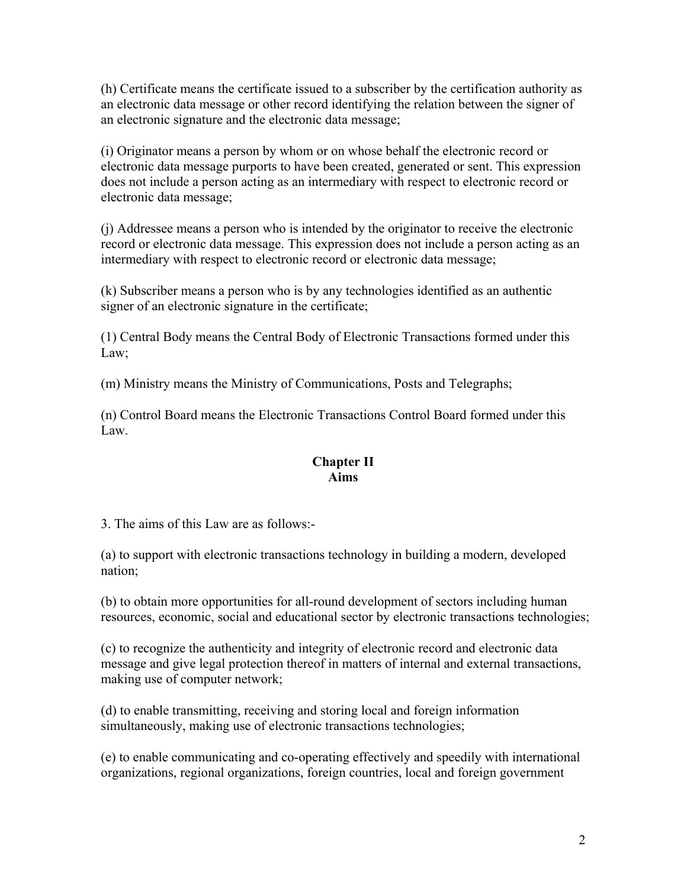(h) Certificate means the certificate issued to a subscriber by the certification authority as an electronic data message or other record identifying the relation between the signer of an electronic signature and the electronic data message;

(i) Originator means a person by whom or on whose behalf the electronic record or electronic data message purports to have been created, generated or sent. This expression does not include a person acting as an intermediary with respect to electronic record or electronic data message;

(j) Addressee means a person who is intended by the originator to receive the electronic record or electronic data message. This expression does not include a person acting as an intermediary with respect to electronic record or electronic data message;

(k) Subscriber means a person who is by any technologies identified as an authentic signer of an electronic signature in the certificate;

(1) Central Body means the Central Body of Electronic Transactions formed under this Law;

(m) Ministry means the Ministry of Communications, Posts and Telegraphs;

(n) Control Board means the Electronic Transactions Control Board formed under this Law.

## **Chapter II Aims**

3. The aims of this Law are as follows:-

(a) to support with electronic transactions technology in building a modern, developed nation;

(b) to obtain more opportunities for all-round development of sectors including human resources, economic, social and educational sector by electronic transactions technologies;

(c) to recognize the authenticity and integrity of electronic record and electronic data message and give legal protection thereof in matters of internal and external transactions, making use of computer network;

(d) to enable transmitting, receiving and storing local and foreign information simultaneously, making use of electronic transactions technologies;

(e) to enable communicating and co-operating effectively and speedily with international organizations, regional organizations, foreign countries, local and foreign government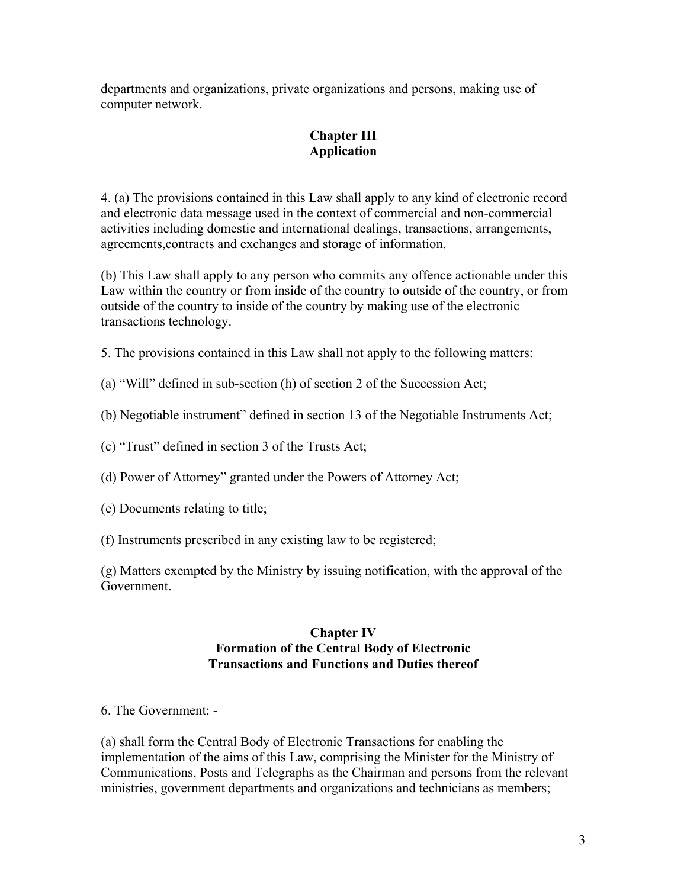departments and organizations, private organizations and persons, making use of computer network.

# **Chapter III Application**

4. (a) The provisions contained in this Law shall apply to any kind of electronic record and electronic data message used in the context of commercial and non-commercial activities including domestic and international dealings, transactions, arrangements, agreements,contracts and exchanges and storage of information.

(b) This Law shall apply to any person who commits any offence actionable under this Law within the country or from inside of the country to outside of the country, or from outside of the country to inside of the country by making use of the electronic transactions technology.

5. The provisions contained in this Law shall not apply to the following matters:

(a) "Will" defined in sub-section (h) of section 2 of the Succession Act;

(b) Negotiable instrument" defined in section 13 of the Negotiable Instruments Act;

(c) "Trust" defined in section 3 of the Trusts Act;

(d) Power of Attorney" granted under the Powers of Attorney Act;

- (e) Documents relating to title;
- (f) Instruments prescribed in any existing law to be registered;

(g) Matters exempted by the Ministry by issuing notification, with the approval of the Government.

## **Chapter IV Formation of the Central Body of Electronic Transactions and Functions and Duties thereof**

6. The Government: -

(a) shall form the Central Body of Electronic Transactions for enabling the implementation of the aims of this Law, comprising the Minister for the Ministry of Communications, Posts and Telegraphs as the Chairman and persons from the relevant ministries, government departments and organizations and technicians as members;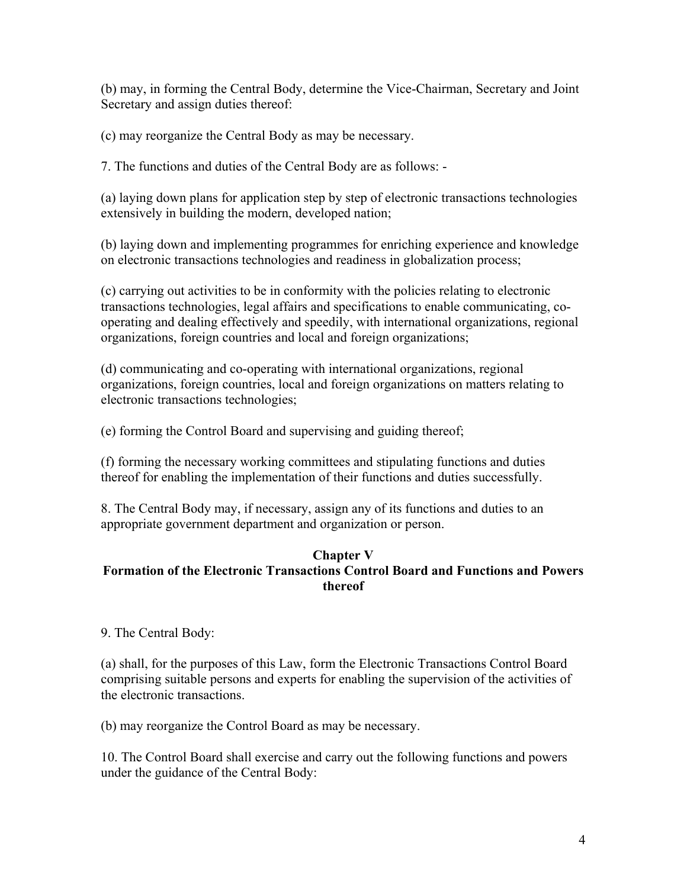(b) may, in forming the Central Body, determine the Vice-Chairman, Secretary and Joint Secretary and assign duties thereof:

(c) may reorganize the Central Body as may be necessary.

7. The functions and duties of the Central Body are as follows: -

(a) laying down plans for application step by step of electronic transactions technologies extensively in building the modern, developed nation;

(b) laying down and implementing programmes for enriching experience and knowledge on electronic transactions technologies and readiness in globalization process;

(c) carrying out activities to be in conformity with the policies relating to electronic transactions technologies, legal affairs and specifications to enable communicating, cooperating and dealing effectively and speedily, with international organizations, regional organizations, foreign countries and local and foreign organizations;

(d) communicating and co-operating with international organizations, regional organizations, foreign countries, local and foreign organizations on matters relating to electronic transactions technologies;

(e) forming the Control Board and supervising and guiding thereof;

(f) forming the necessary working committees and stipulating functions and duties thereof for enabling the implementation of their functions and duties successfully.

8. The Central Body may, if necessary, assign any of its functions and duties to an appropriate government department and organization or person.

### **Chapter V Formation of the Electronic Transactions Control Board and Functions and Powers thereof**

9. The Central Body:

(a) shall, for the purposes of this Law, form the Electronic Transactions Control Board comprising suitable persons and experts for enabling the supervision of the activities of the electronic transactions.

(b) may reorganize the Control Board as may be necessary.

10. The Control Board shall exercise and carry out the following functions and powers under the guidance of the Central Body: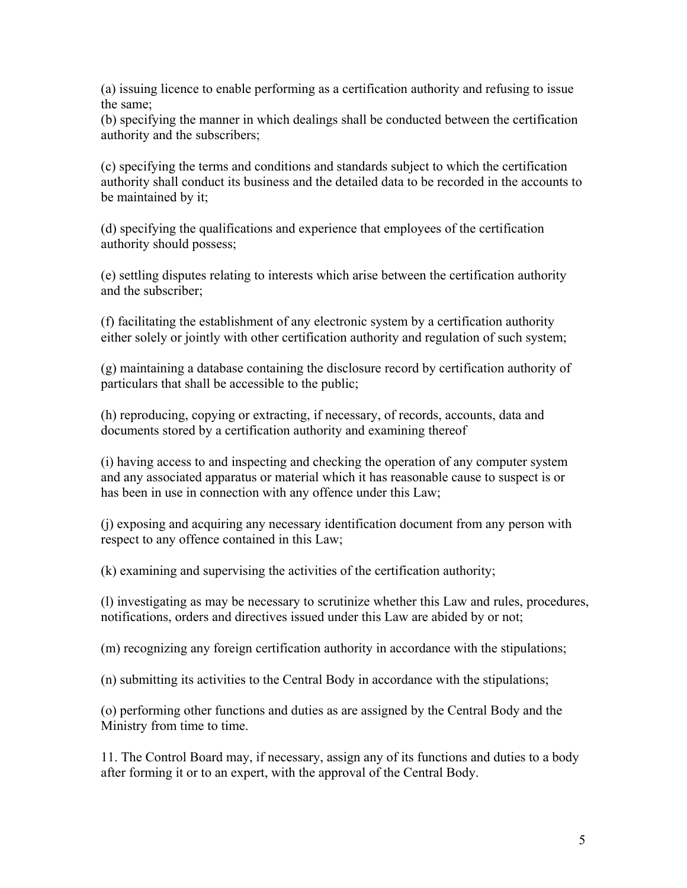(a) issuing licence to enable performing as a certification authority and refusing to issue the same;

(b) specifying the manner in which dealings shall be conducted between the certification authority and the subscribers;

(c) specifying the terms and conditions and standards subject to which the certification authority shall conduct its business and the detailed data to be recorded in the accounts to be maintained by it;

(d) specifying the qualifications and experience that employees of the certification authority should possess;

(e) settling disputes relating to interests which arise between the certification authority and the subscriber;

(f) facilitating the establishment of any electronic system by a certification authority either solely or jointly with other certification authority and regulation of such system;

(g) maintaining a database containing the disclosure record by certification authority of particulars that shall be accessible to the public;

(h) reproducing, copying or extracting, if necessary, of records, accounts, data and documents stored by a certification authority and examining thereof

(i) having access to and inspecting and checking the operation of any computer system and any associated apparatus or material which it has reasonable cause to suspect is or has been in use in connection with any offence under this Law;

(j) exposing and acquiring any necessary identification document from any person with respect to any offence contained in this Law;

(k) examining and supervising the activities of the certification authority;

(l) investigating as may be necessary to scrutinize whether this Law and rules, procedures, notifications, orders and directives issued under this Law are abided by or not;

(m) recognizing any foreign certification authority in accordance with the stipulations;

(n) submitting its activities to the Central Body in accordance with the stipulations;

(o) performing other functions and duties as are assigned by the Central Body and the Ministry from time to time.

11. The Control Board may, if necessary, assign any of its functions and duties to a body after forming it or to an expert, with the approval of the Central Body.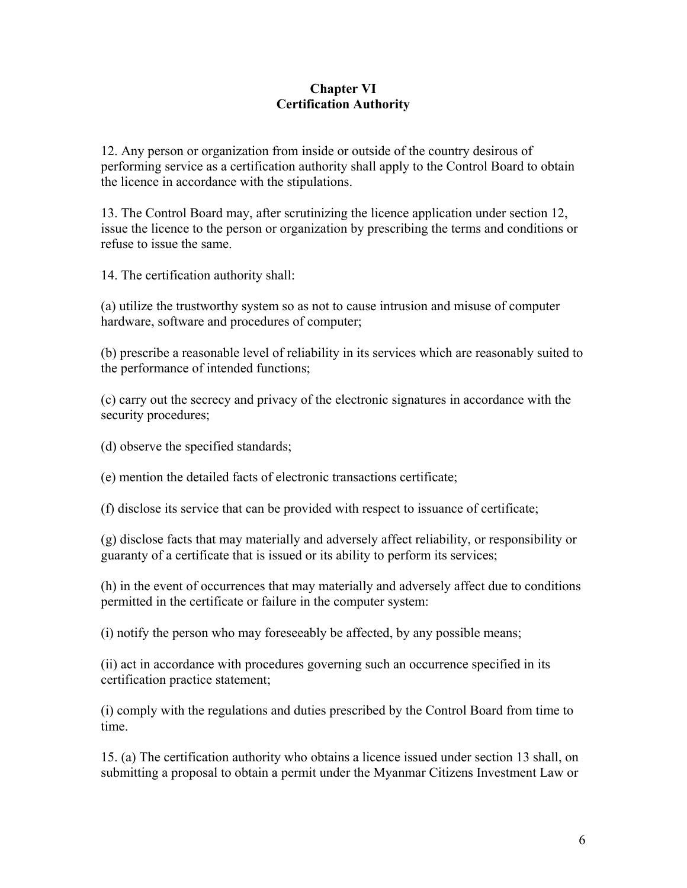## **Chapter VI Certification Authority**

12. Any person or organization from inside or outside of the country desirous of performing service as a certification authority shall apply to the Control Board to obtain the licence in accordance with the stipulations.

13. The Control Board may, after scrutinizing the licence application under section 12, issue the licence to the person or organization by prescribing the terms and conditions or refuse to issue the same.

14. The certification authority shall:

(a) utilize the trustworthy system so as not to cause intrusion and misuse of computer hardware, software and procedures of computer;

(b) prescribe a reasonable level of reliability in its services which are reasonably suited to the performance of intended functions;

(c) carry out the secrecy and privacy of the electronic signatures in accordance with the security procedures;

(d) observe the specified standards;

(e) mention the detailed facts of electronic transactions certificate;

(f) disclose its service that can be provided with respect to issuance of certificate;

(g) disclose facts that may materially and adversely affect reliability, or responsibility or guaranty of a certificate that is issued or its ability to perform its services;

(h) in the event of occurrences that may materially and adversely affect due to conditions permitted in the certificate or failure in the computer system:

(i) notify the person who may foreseeably be affected, by any possible means;

(ii) act in accordance with procedures governing such an occurrence specified in its certification practice statement;

(i) comply with the regulations and duties prescribed by the Control Board from time to time.

15. (a) The certification authority who obtains a licence issued under section 13 shall, on submitting a proposal to obtain a permit under the Myanmar Citizens Investment Law or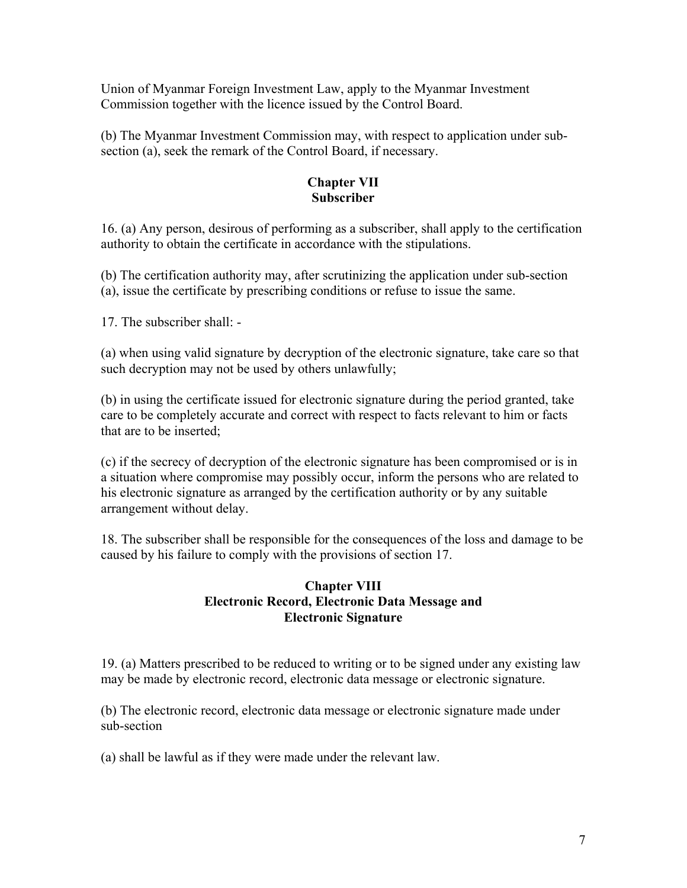Union of Myanmar Foreign Investment Law, apply to the Myanmar Investment Commission together with the licence issued by the Control Board.

(b) The Myanmar Investment Commission may, with respect to application under subsection (a), seek the remark of the Control Board, if necessary.

### **Chapter VII Subscriber**

16. (a) Any person, desirous of performing as a subscriber, shall apply to the certification authority to obtain the certificate in accordance with the stipulations.

(b) The certification authority may, after scrutinizing the application under sub-section (a), issue the certificate by prescribing conditions or refuse to issue the same.

17. The subscriber shall: -

(a) when using valid signature by decryption of the electronic signature, take care so that such decryption may not be used by others unlawfully;

(b) in using the certificate issued for electronic signature during the period granted, take care to be completely accurate and correct with respect to facts relevant to him or facts that are to be inserted;

(c) if the secrecy of decryption of the electronic signature has been compromised or is in a situation where compromise may possibly occur, inform the persons who are related to his electronic signature as arranged by the certification authority or by any suitable arrangement without delay.

18. The subscriber shall be responsible for the consequences of the loss and damage to be caused by his failure to comply with the provisions of section 17.

## **Chapter VIII Electronic Record, Electronic Data Message and Electronic Signature**

19. (a) Matters prescribed to be reduced to writing or to be signed under any existing law may be made by electronic record, electronic data message or electronic signature.

(b) The electronic record, electronic data message or electronic signature made under sub-section

(a) shall be lawful as if they were made under the relevant law.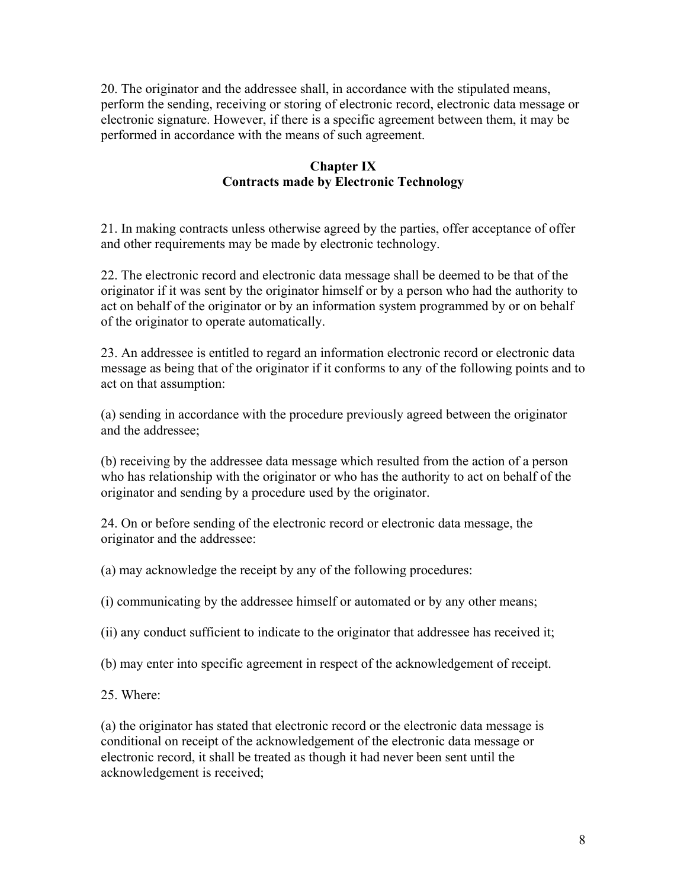20. The originator and the addressee shall, in accordance with the stipulated means, perform the sending, receiving or storing of electronic record, electronic data message or electronic signature. However, if there is a specific agreement between them, it may be performed in accordance with the means of such agreement.

## **Chapter IX Contracts made by Electronic Technology**

21. In making contracts unless otherwise agreed by the parties, offer acceptance of offer and other requirements may be made by electronic technology.

22. The electronic record and electronic data message shall be deemed to be that of the originator if it was sent by the originator himself or by a person who had the authority to act on behalf of the originator or by an information system programmed by or on behalf of the originator to operate automatically.

23. An addressee is entitled to regard an information electronic record or electronic data message as being that of the originator if it conforms to any of the following points and to act on that assumption:

(a) sending in accordance with the procedure previously agreed between the originator and the addressee;

(b) receiving by the addressee data message which resulted from the action of a person who has relationship with the originator or who has the authority to act on behalf of the originator and sending by a procedure used by the originator.

24. On or before sending of the electronic record or electronic data message, the originator and the addressee:

(a) may acknowledge the receipt by any of the following procedures:

(i) communicating by the addressee himself or automated or by any other means;

(ii) any conduct sufficient to indicate to the originator that addressee has received it;

(b) may enter into specific agreement in respect of the acknowledgement of receipt.

25. Where:

(a) the originator has stated that electronic record or the electronic data message is conditional on receipt of the acknowledgement of the electronic data message or electronic record, it shall be treated as though it had never been sent until the acknowledgement is received;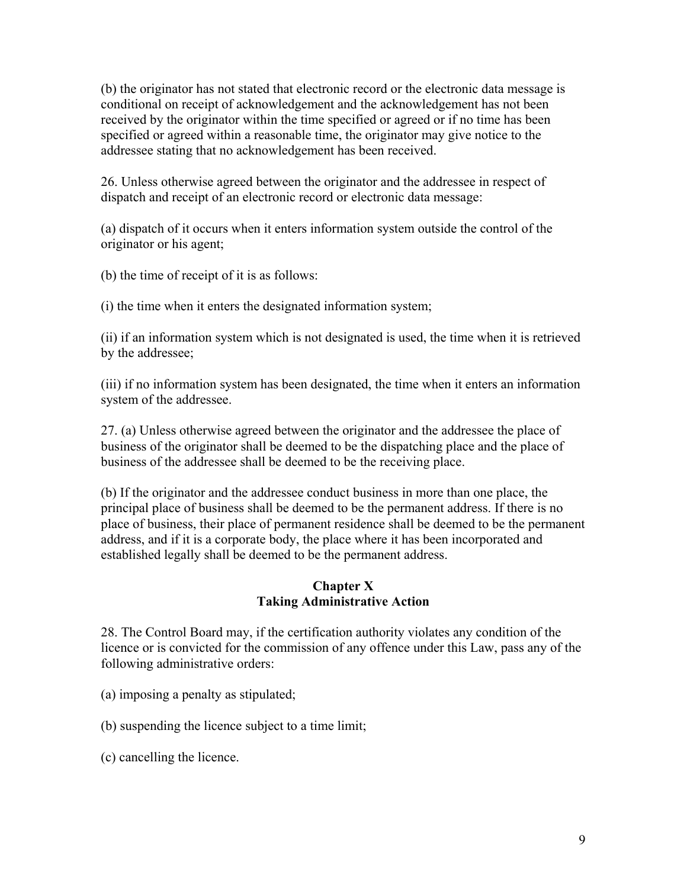(b) the originator has not stated that electronic record or the electronic data message is conditional on receipt of acknowledgement and the acknowledgement has not been received by the originator within the time specified or agreed or if no time has been specified or agreed within a reasonable time, the originator may give notice to the addressee stating that no acknowledgement has been received.

26. Unless otherwise agreed between the originator and the addressee in respect of dispatch and receipt of an electronic record or electronic data message:

(a) dispatch of it occurs when it enters information system outside the control of the originator or his agent;

(b) the time of receipt of it is as follows:

(i) the time when it enters the designated information system;

(ii) if an information system which is not designated is used, the time when it is retrieved by the addressee;

(iii) if no information system has been designated, the time when it enters an information system of the addressee.

27. (a) Unless otherwise agreed between the originator and the addressee the place of business of the originator shall be deemed to be the dispatching place and the place of business of the addressee shall be deemed to be the receiving place.

(b) If the originator and the addressee conduct business in more than one place, the principal place of business shall be deemed to be the permanent address. If there is no place of business, their place of permanent residence shall be deemed to be the permanent address, and if it is a corporate body, the place where it has been incorporated and established legally shall be deemed to be the permanent address.

## **Chapter X Taking Administrative Action**

28. The Control Board may, if the certification authority violates any condition of the licence or is convicted for the commission of any offence under this Law, pass any of the following administrative orders:

(a) imposing a penalty as stipulated;

(b) suspending the licence subject to a time limit;

(c) cancelling the licence.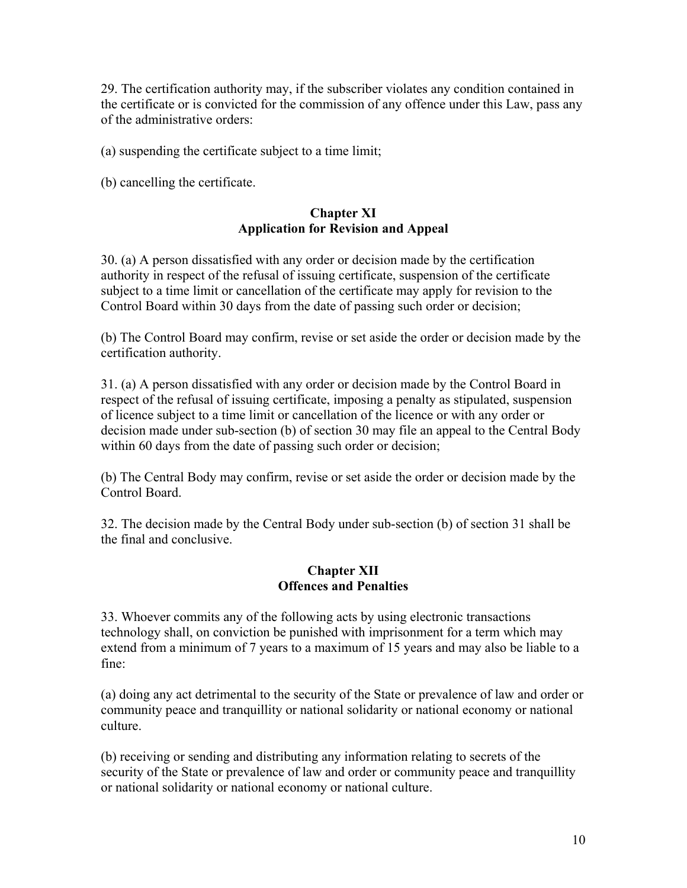29. The certification authority may, if the subscriber violates any condition contained in the certificate or is convicted for the commission of any offence under this Law, pass any of the administrative orders:

(a) suspending the certificate subject to a time limit;

(b) cancelling the certificate.

### **Chapter XI Application for Revision and Appeal**

30. (a) A person dissatisfied with any order or decision made by the certification authority in respect of the refusal of issuing certificate, suspension of the certificate subject to a time limit or cancellation of the certificate may apply for revision to the Control Board within 30 days from the date of passing such order or decision;

(b) The Control Board may confirm, revise or set aside the order or decision made by the certification authority.

31. (a) A person dissatisfied with any order or decision made by the Control Board in respect of the refusal of issuing certificate, imposing a penalty as stipulated, suspension of licence subject to a time limit or cancellation of the licence or with any order or decision made under sub-section (b) of section 30 may file an appeal to the Central Body within 60 days from the date of passing such order or decision;

(b) The Central Body may confirm, revise or set aside the order or decision made by the Control Board.

32. The decision made by the Central Body under sub-section (b) of section 31 shall be the final and conclusive.

#### **Chapter XII Offences and Penalties**

33. Whoever commits any of the following acts by using electronic transactions technology shall, on conviction be punished with imprisonment for a term which may extend from a minimum of 7 years to a maximum of 15 years and may also be liable to a fine:

(a) doing any act detrimental to the security of the State or prevalence of law and order or community peace and tranquillity or national solidarity or national economy or national culture.

(b) receiving or sending and distributing any information relating to secrets of the security of the State or prevalence of law and order or community peace and tranquillity or national solidarity or national economy or national culture.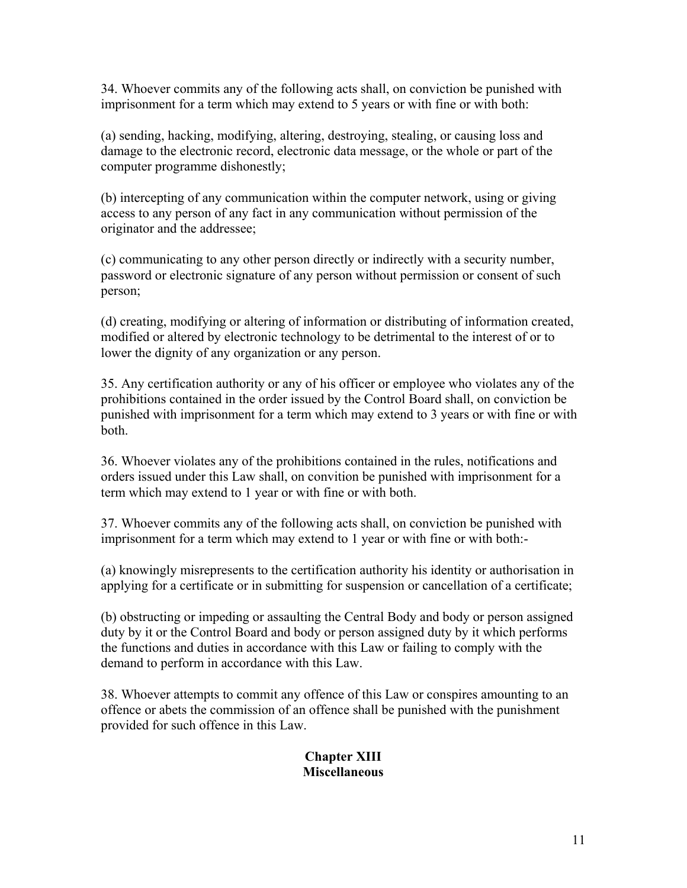34. Whoever commits any of the following acts shall, on conviction be punished with imprisonment for a term which may extend to 5 years or with fine or with both:

(a) sending, hacking, modifying, altering, destroying, stealing, or causing loss and damage to the electronic record, electronic data message, or the whole or part of the computer programme dishonestly;

(b) intercepting of any communication within the computer network, using or giving access to any person of any fact in any communication without permission of the originator and the addressee;

(c) communicating to any other person directly or indirectly with a security number, password or electronic signature of any person without permission or consent of such person;

(d) creating, modifying or altering of information or distributing of information created, modified or altered by electronic technology to be detrimental to the interest of or to lower the dignity of any organization or any person.

35. Any certification authority or any of his officer or employee who violates any of the prohibitions contained in the order issued by the Control Board shall, on conviction be punished with imprisonment for a term which may extend to 3 years or with fine or with both.

36. Whoever violates any of the prohibitions contained in the rules, notifications and orders issued under this Law shall, on convition be punished with imprisonment for a term which may extend to 1 year or with fine or with both.

37. Whoever commits any of the following acts shall, on conviction be punished with imprisonment for a term which may extend to 1 year or with fine or with both:-

(a) knowingly misrepresents to the certification authority his identity or authorisation in applying for a certificate or in submitting for suspension or cancellation of a certificate;

(b) obstructing or impeding or assaulting the Central Body and body or person assigned duty by it or the Control Board and body or person assigned duty by it which performs the functions and duties in accordance with this Law or failing to comply with the demand to perform in accordance with this Law.

38. Whoever attempts to commit any offence of this Law or conspires amounting to an offence or abets the commission of an offence shall be punished with the punishment provided for such offence in this Law.

### **Chapter XIII Miscellaneous**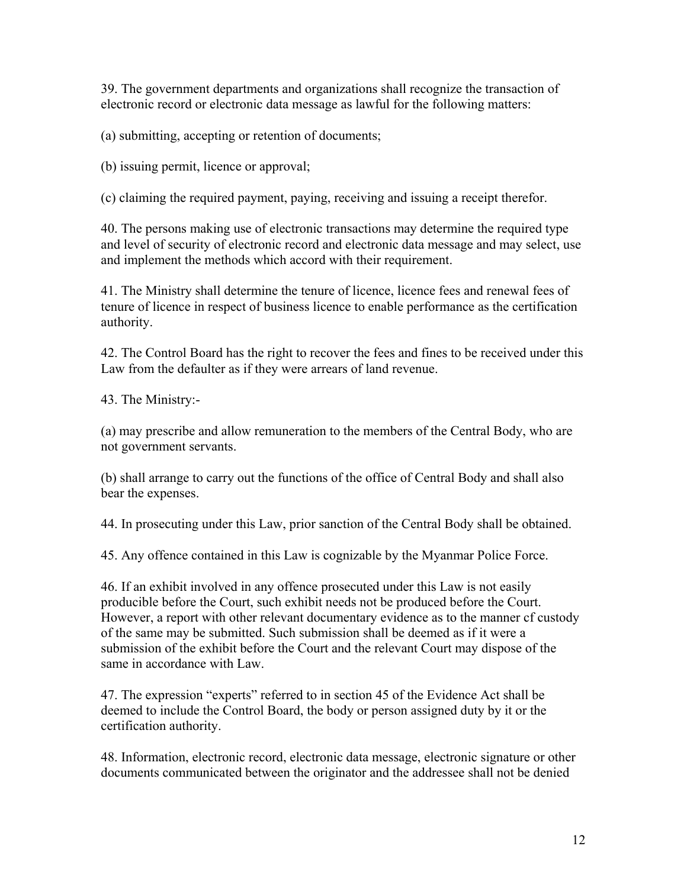39. The government departments and organizations shall recognize the transaction of electronic record or electronic data message as lawful for the following matters:

(a) submitting, accepting or retention of documents;

(b) issuing permit, licence or approval;

(c) claiming the required payment, paying, receiving and issuing a receipt therefor.

40. The persons making use of electronic transactions may determine the required type and level of security of electronic record and electronic data message and may select, use and implement the methods which accord with their requirement.

41. The Ministry shall determine the tenure of licence, licence fees and renewal fees of tenure of licence in respect of business licence to enable performance as the certification authority.

42. The Control Board has the right to recover the fees and fines to be received under this Law from the defaulter as if they were arrears of land revenue.

43. The Ministry:-

(a) may prescribe and allow remuneration to the members of the Central Body, who are not government servants.

(b) shall arrange to carry out the functions of the office of Central Body and shall also bear the expenses.

44. In prosecuting under this Law, prior sanction of the Central Body shall be obtained.

45. Any offence contained in this Law is cognizable by the Myanmar Police Force.

46. If an exhibit involved in any offence prosecuted under this Law is not easily producible before the Court, such exhibit needs not be produced before the Court. However, a report with other relevant documentary evidence as to the manner cf custody of the same may be submitted. Such submission shall be deemed as if it were a submission of the exhibit before the Court and the relevant Court may dispose of the same in accordance with Law.

47. The expression "experts" referred to in section 45 of the Evidence Act shall be deemed to include the Control Board, the body or person assigned duty by it or the certification authority.

48. Information, electronic record, electronic data message, electronic signature or other documents communicated between the originator and the addressee shall not be denied